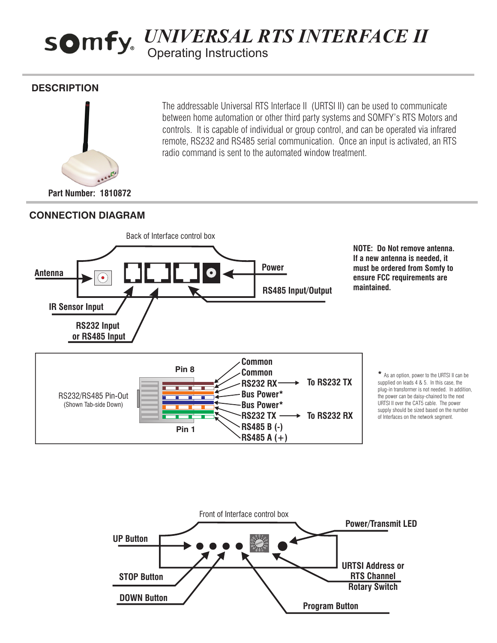## *UNIVERSAL RTS INTERFACE II* Operating Instructions

#### **DESCRIPTION**



The addressable Universal RTS Interface II (URTSI II) can be used to communicate between home automation or other third party systems and SOMFY's RTS Motors and controls. It is capable of individual or group control, and can be operated via infrared remote, RS232 and RS485 serial communication. Once an input is activated, an RTS radio command is sent to the automated window treatment.





**NOTE: Do Not remove antenna. If a new antenna is needed, it must be ordered from Somfy to ensure FCC requirements are maintained.** 

> **\*** As an option, power to the URTSI II can be supplied on leads 4 & 5. In this case, the plug-in transformer is not needed. In addition, the power can be daisy-chained to the next URTSI II over the CAT5 cable. The power supply should be sized based on the number of Interfaces on the network segment.

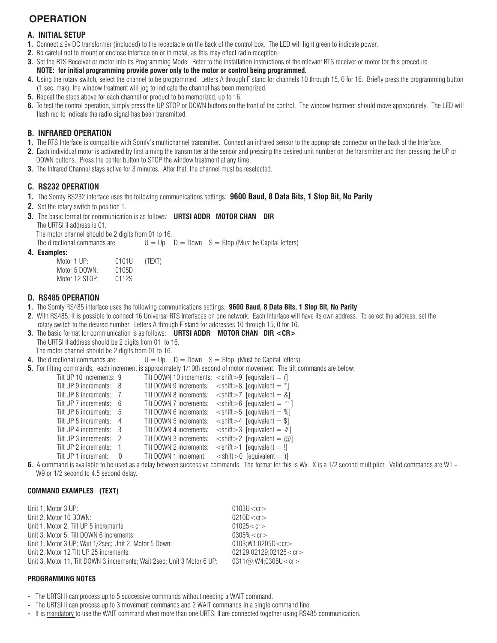### **OPERATION**

#### **A. INITIAL SETUP**

- **1.** Connect a 9v DC transformer (included) to the receptacle on the back of the control box. The LED will light green to indicate power.
- **2.** Be careful not to mount or enclose Interface on or in metal, as this may effect radio reception.
- **3.** Set the RTS Receiver or motor into its Programming Mode. Refer to the installation instructions of the relevant RTS receiver or motor for this procedure.

```
 NOTE: for initial programming provide power only to the motor or control being programmed.
```
- **4.** Using the rotary switch, select the channel to be programmed. Letters A through F stand for channels 10 through 15, 0 for 16. Briefly press the programming button (1 sec. max), the window treatment will jog to indicate the channel has been memorized.
- **5.** Repeat the steps above for each channel or product to be memorized, up to 16.
- 6. To test the control operation, simply press the UP, STOP or DOWN buttons on the front of the control. The window treatment should move appropriately. The LED will flash red to indicate the radio signal has been transmitted.

#### **B. INFRARED OPERATION**

- **1.** The RTS Interface is compatible with Somfy's multichannel transmitter. Connect an infrared sensor to the appropriate connector on the back of the Interface.
- **2.** Each individual motor is activated by first aiming the transmitter at the sensor and pressing the desired unit number on the transmitter and then pressing the UP or DOWN buttons. Press the center button to STOP the window treatment at any time.
- **3.** The Infrared Channel stays active for 3 minutes. After that, the channel must be reselected.

#### **C. RS232 OPERATION**

- **1.** The Somfy RS232 interface uses the following communications settings: **9600 Baud, 8 Data Bits, 1 Stop Bit, No Parity**
- **2.** Set the rotary switch to position 1.
- **3.** The basic format for communication is as follows: **URTSI ADDR MOTOR CHAN DIR**

The URTSI II address is 01. The motor channel should be 2 digits from 01 to 16.

The directional commands are:  $U = Up$   $D = Down$   $S = Stop$  (Must be Capital letters)

#### **4. Examples:**

| Motor 1 UP:    | 0101U | (TEXT) |
|----------------|-------|--------|
| Motor 5 DOWN:  | 0105D |        |
| Motor 12 STOP: | 0112S |        |

#### **D. RS485 OPERATION**

- **1.** The Somfy RS485 interface uses the following communications settings: **9600 Baud, 8 Data Bits, 1 Stop Bit, No Parity**
- **2.** With RS485, it is possible to connect 16 Universal RTS Interfaces on one network. Each Interface will have its own address. To select the address, set the rotary switch to the desired number. Letters A through F stand for addresses 10 through 15, 0 for 16.
- **3.** The basic format for communication is as follows: **URTSI ADDR MOTOR CHAN DIR <CR>** The URTSI II address should be 2 digits from 01 to 16.
- The motor channel should be 2 digits from 01 to 16.
- **4.** The directional commands are:  $U = Up \t D = Down \t S = Stop$  (Must be Capital letters)
- **5.** For tilting commands, each increment is approximately 1/10th second of motor movement. The tilt commands are below:

| Tilt UP 10 increments: 9 |          |                         | Tilt DOWN 10 increments: $\langle$ shift>9 [equivalent = (1) |
|--------------------------|----------|-------------------------|--------------------------------------------------------------|
| Tilt UP 9 increments: 8  |          |                         | Tilt DOWN 9 increments: $\langle$ shift>8 [equivalent = *]   |
| Tilt UP 8 increments:    | -7       | Tilt DOWN 8 increments: | $\le$ shift > 7 [equivalent = &]                             |
| Tilt UP 7 increments:    | 6        | Tilt DOWN 7 increments: | $\langle$ shift>6 [equivalent = $\cap$ ]                     |
| Tilt UP 6 increments:    | 5        | Tilt DOWN 6 increments: | $\le$ shift > 5 [equivalent = %]                             |
| Tilt UP 5 increments:    | 4        | Tilt DOWN 5 increments: | $\le$ shift > 4 [equivalent = \$]                            |
| Tilt UP 4 increments:    | - 3      | Tilt DOWN 4 increments: | $\le$ shift>3 [equivalent = #]                               |
| Tilt UP 3 increments:    | 2        | Tilt DOWN 3 increments: | $\le$ shift>2 [equivalent = $\omega$ ]                       |
| Tilt UP 2 increments:    | -1       | Tilt DOWN 2 increments: | $\le$ shift > 1 [equivalent = !]                             |
| Tilt UP 1 increment:     | $\Omega$ | Tilt DOWN 1 increment:  | $\le$ shift > 0 [equivalent = )]                             |
|                          |          |                         |                                                              |

6. A command is available to be used as a delay between successive commands. The format for this is Wx. X is a 1/2 second multiplier. Valid commands are W1 -W9 or  $1/2$  second to 4.5 second delay.

#### **COMMAND EXAMPLES (TEXT)**

| Unit 1, Motor 3 UP:                                                        | 0103U $<$ cr $>$          |
|----------------------------------------------------------------------------|---------------------------|
| Unit 2, Motor 10 DOWN:                                                     | $0210D < c$ r $>$         |
| Unit 1, Motor 2, Tilt UP 5 increments:                                     | 01025 $<$ cr $>$          |
| Unit 3. Motor 5. Tilt DOWN 6 increments:                                   | $0305\% < c$ r $>$        |
| Unit 1, Motor 3 UP; Wait 1/2sec; Unit 2, Motor 5 Down:                     | $0103:W1:0205D < c$ r $>$ |
| Unit 2, Motor 12 Tilt UP 25 increments:                                    | $02129:02129:02125 < c$ r |
| Unit 3, Motor 11, Tilt DOWN 3 increments; Wait 2sec; Unit 3 Motor 6 UP: \, | $0311@$ :W4:0306U < cr >  |

#### **PROGRAMMING NOTES**

- The URTSI II can process up to 5 successive commands without needing a WAIT command.
- The URTSI II can process up to 3 movement commands and 2 WAIT commands in a single command line.
- It is mandatory to use the WAIT command when more than one URTSI II are connected together using RS485 communication.